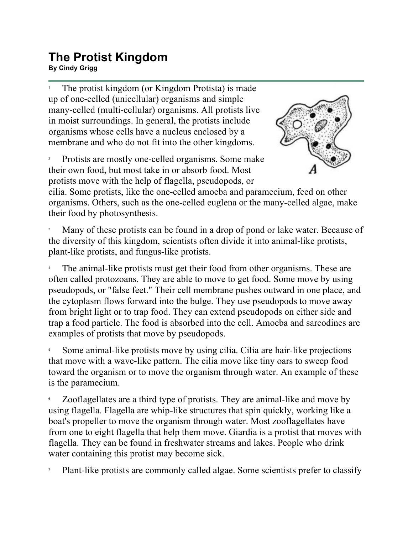## **The Protist Kingdom By Cindy Grigg**<br>By Cindy Grigg

1 The protist kingdom (or Kingdom Protista) is made up of one-celled (unicellular) organisms and simple many-celled (multi-cellular) organisms. All protists live in moist surroundings. In general, the protists include organisms whose cells have a nucleus enclosed by a membrane and who do not fit into the other kingdoms.

2 Protists are mostly one-celled organisms. Some make their own food, but most take in or absorb food. Most protists move with the help of flagella, pseudopods, or



cilia. Some protists, like the one-celled amoeba and paramecium, feed on other organisms. Others, such as the one-celled euglena or the many-celled algae, make their food by photosynthesis.

3 Many of these protists can be found in a drop of pond or lake water. Because of the diversity of this kingdom, scientists often divide it into animal-like protists, plant-like protists, and fungus-like protists.

4 The animal-like protists must get their food from other organisms. These are often called protozoans. They are able to move to get food. Some move by using pseudopods, or "false feet." Their cell membrane pushes outward in one place, and the cytoplasm flows forward into the bulge. They use pseudopods to move away from bright light or to trap food. They can extend pseudopods on either side and trap a food particle. The food is absorbed into the cell. Amoeba and sarcodines are examples of protists that move by pseudopods.

5 Some animal-like protists move by using cilia. Cilia are hair-like projections that move with a wave-like pattern. The cilia move like tiny oars to sweep food toward the organism or to move the organism through water. An example of these is the paramecium.

6 Zooflagellates are a third type of protists. They are animal-like and move by using flagella. Flagella are whip-like structures that spin quickly, working like a boat's propeller to move the organism through water. Most zooflagellates have from one to eight flagella that help them move. Giardia is a protist that moves with flagella. They can be found in freshwater streams and lakes. People who drink water containing this protist may become sick.

7 Plant-like protists are commonly called algae. Some scientists prefer to classify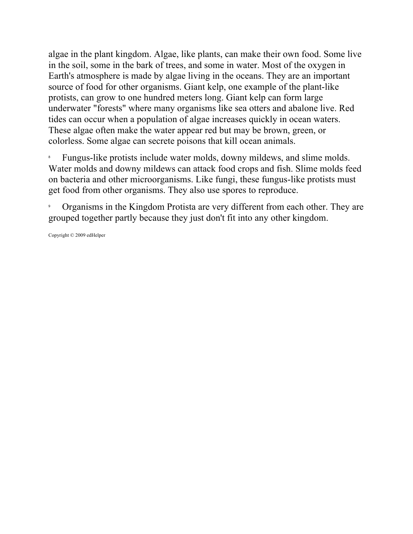algae in the plant kingdom. Algae, like plants, can make their own food. Some live in the soil, some in the bark of trees, and some in water. Most of the oxygen in Earth's atmosphere is made by algae living in the oceans. They are an important source of food for other organisms. Giant kelp, one example of the plant-like protists, can grow to one hundred meters long. Giant kelp can form large underwater "forests" where many organisms like sea otters and abalone live. Red tides can occur when a population of algae increases quickly in ocean waters. These algae often make the water appear red but may be brown, green, or colorless. Some algae can secrete poisons that kill ocean animals.

8 Fungus-like protists include water molds, downy mildews, and slime molds. Water molds and downy mildews can attack food crops and fish. Slime molds feed on bacteria and other microorganisms. Like fungi, these fungus-like protists must get food from other organisms. They also use spores to reproduce.

9 Organisms in the Kingdom Protista are very different from each other. They are grouped together partly because they just don't fit into any other kingdom.

Copyright © 2009 edHelper